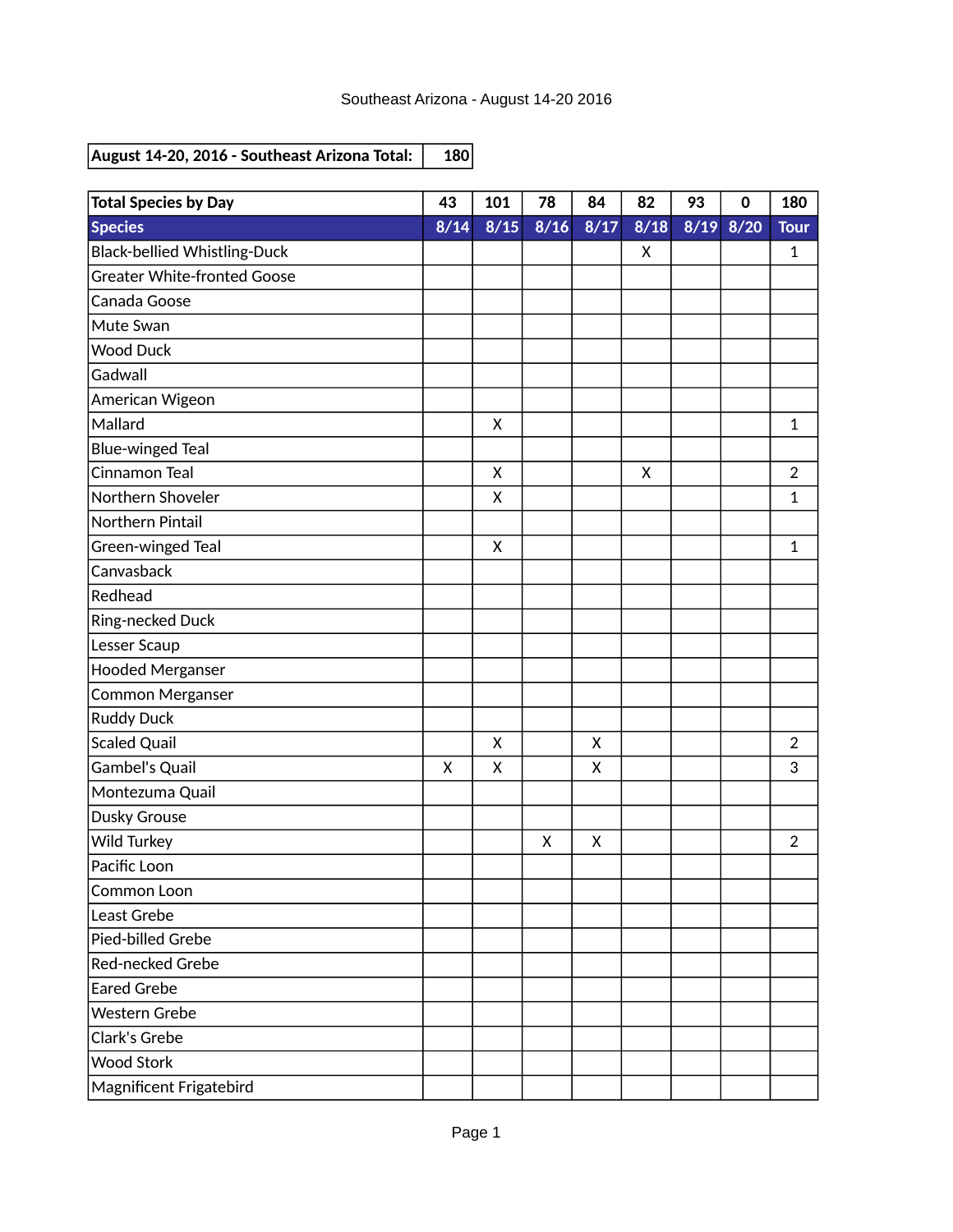| <b>Total Species by Day</b>         | 43   | 101            | 78   | 84   | 82   | 93 | $\mathbf 0$   | 180            |
|-------------------------------------|------|----------------|------|------|------|----|---------------|----------------|
| <b>Species</b>                      | 8/14 | $\frac{8}{15}$ | 8/16 | 8/17 | 8/18 |    | $8/19$ $8/20$ | <b>Tour</b>    |
| <b>Black-bellied Whistling-Duck</b> |      |                |      |      | X    |    |               | 1              |
| <b>Greater White-fronted Goose</b>  |      |                |      |      |      |    |               |                |
| Canada Goose                        |      |                |      |      |      |    |               |                |
| Mute Swan                           |      |                |      |      |      |    |               |                |
| <b>Wood Duck</b>                    |      |                |      |      |      |    |               |                |
| Gadwall                             |      |                |      |      |      |    |               |                |
| American Wigeon                     |      |                |      |      |      |    |               |                |
| Mallard                             |      | X              |      |      |      |    |               | $\mathbf{1}$   |
| <b>Blue-winged Teal</b>             |      |                |      |      |      |    |               |                |
| Cinnamon Teal                       |      | X              |      |      | X    |    |               | $\overline{2}$ |
| Northern Shoveler                   |      | X              |      |      |      |    |               | $\mathbf 1$    |
| Northern Pintail                    |      |                |      |      |      |    |               |                |
| Green-winged Teal                   |      | X              |      |      |      |    |               | 1              |
| Canvasback                          |      |                |      |      |      |    |               |                |
| Redhead                             |      |                |      |      |      |    |               |                |
| Ring-necked Duck                    |      |                |      |      |      |    |               |                |
| Lesser Scaup                        |      |                |      |      |      |    |               |                |
| <b>Hooded Merganser</b>             |      |                |      |      |      |    |               |                |
| <b>Common Merganser</b>             |      |                |      |      |      |    |               |                |
| <b>Ruddy Duck</b>                   |      |                |      |      |      |    |               |                |
| <b>Scaled Quail</b>                 |      | X              |      | Χ    |      |    |               | $\overline{2}$ |
| Gambel's Quail                      | X    | X              |      | Χ    |      |    |               | 3              |
| Montezuma Quail                     |      |                |      |      |      |    |               |                |
| <b>Dusky Grouse</b>                 |      |                |      |      |      |    |               |                |
| Wild Turkey                         |      |                | X    | X    |      |    |               | $\overline{2}$ |
| Pacific Loon                        |      |                |      |      |      |    |               |                |
| Common Loon                         |      |                |      |      |      |    |               |                |
| Least Grebe                         |      |                |      |      |      |    |               |                |
| Pied-billed Grebe                   |      |                |      |      |      |    |               |                |
| Red-necked Grebe                    |      |                |      |      |      |    |               |                |
| <b>Eared Grebe</b>                  |      |                |      |      |      |    |               |                |
| Western Grebe                       |      |                |      |      |      |    |               |                |
| Clark's Grebe                       |      |                |      |      |      |    |               |                |
| <b>Wood Stork</b>                   |      |                |      |      |      |    |               |                |
| Magnificent Frigatebird             |      |                |      |      |      |    |               |                |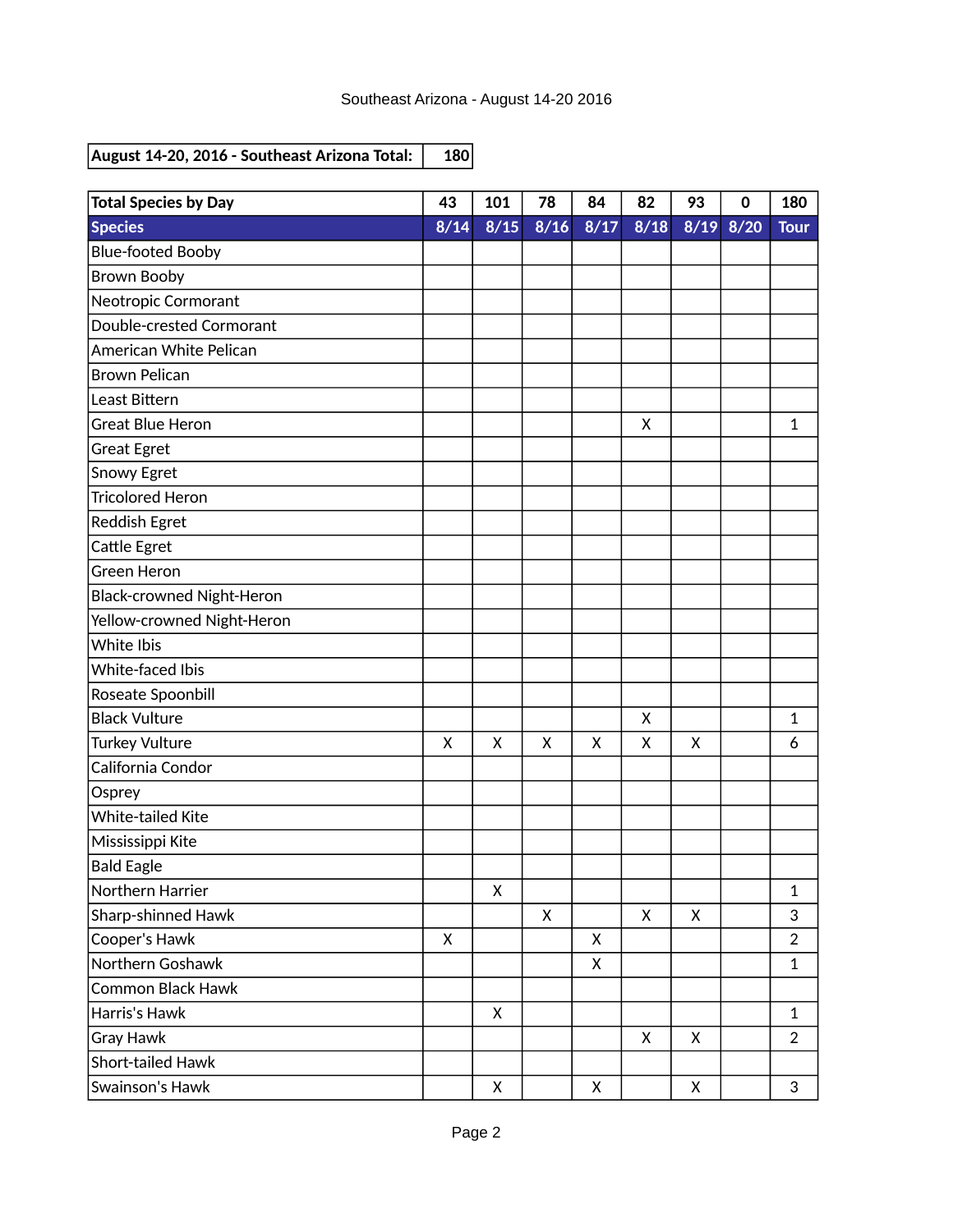| <b>Total Species by Day</b> | 43           | 101  | 78           | 84   | 82   | 93   | $\bf{0}$ | 180            |
|-----------------------------|--------------|------|--------------|------|------|------|----------|----------------|
| <b>Species</b>              | 8/14         | 8/15 | 8/16         | 8/17 | 8/18 | 8/19 | 8/20     | <b>Tour</b>    |
| <b>Blue-footed Booby</b>    |              |      |              |      |      |      |          |                |
| <b>Brown Booby</b>          |              |      |              |      |      |      |          |                |
| Neotropic Cormorant         |              |      |              |      |      |      |          |                |
| Double-crested Cormorant    |              |      |              |      |      |      |          |                |
| American White Pelican      |              |      |              |      |      |      |          |                |
| <b>Brown Pelican</b>        |              |      |              |      |      |      |          |                |
| Least Bittern               |              |      |              |      |      |      |          |                |
| <b>Great Blue Heron</b>     |              |      |              |      | X    |      |          | 1              |
| <b>Great Egret</b>          |              |      |              |      |      |      |          |                |
| Snowy Egret                 |              |      |              |      |      |      |          |                |
| <b>Tricolored Heron</b>     |              |      |              |      |      |      |          |                |
| Reddish Egret               |              |      |              |      |      |      |          |                |
| Cattle Egret                |              |      |              |      |      |      |          |                |
| <b>Green Heron</b>          |              |      |              |      |      |      |          |                |
| Black-crowned Night-Heron   |              |      |              |      |      |      |          |                |
| Yellow-crowned Night-Heron  |              |      |              |      |      |      |          |                |
| White Ibis                  |              |      |              |      |      |      |          |                |
| White-faced Ibis            |              |      |              |      |      |      |          |                |
| Roseate Spoonbill           |              |      |              |      |      |      |          |                |
| <b>Black Vulture</b>        |              |      |              |      | X    |      |          | 1              |
| <b>Turkey Vulture</b>       | $\mathsf{X}$ | X    | $\mathsf{x}$ | X    | X    | X    |          | 6              |
| California Condor           |              |      |              |      |      |      |          |                |
| Osprey                      |              |      |              |      |      |      |          |                |
| <b>White-tailed Kite</b>    |              |      |              |      |      |      |          |                |
| Mississippi Kite            |              |      |              |      |      |      |          |                |
| <b>Bald Eagle</b>           |              |      |              |      |      |      |          |                |
| Northern Harrier            |              | X    |              |      |      |      |          | $\mathbf 1$    |
| Sharp-shinned Hawk          |              |      | X            |      | X    | X    |          | 3              |
| Cooper's Hawk               | X            |      |              | X    |      |      |          | $\overline{2}$ |
| Northern Goshawk            |              |      |              | X    |      |      |          | $\mathbf{1}$   |
| Common Black Hawk           |              |      |              |      |      |      |          |                |
| Harris's Hawk               |              | X    |              |      |      |      |          | $\mathbf{1}$   |
| Gray Hawk                   |              |      |              |      | X    | X    |          | $\overline{2}$ |
| <b>Short-tailed Hawk</b>    |              |      |              |      |      |      |          |                |
| Swainson's Hawk             |              | X    |              | X    |      | X    |          | 3              |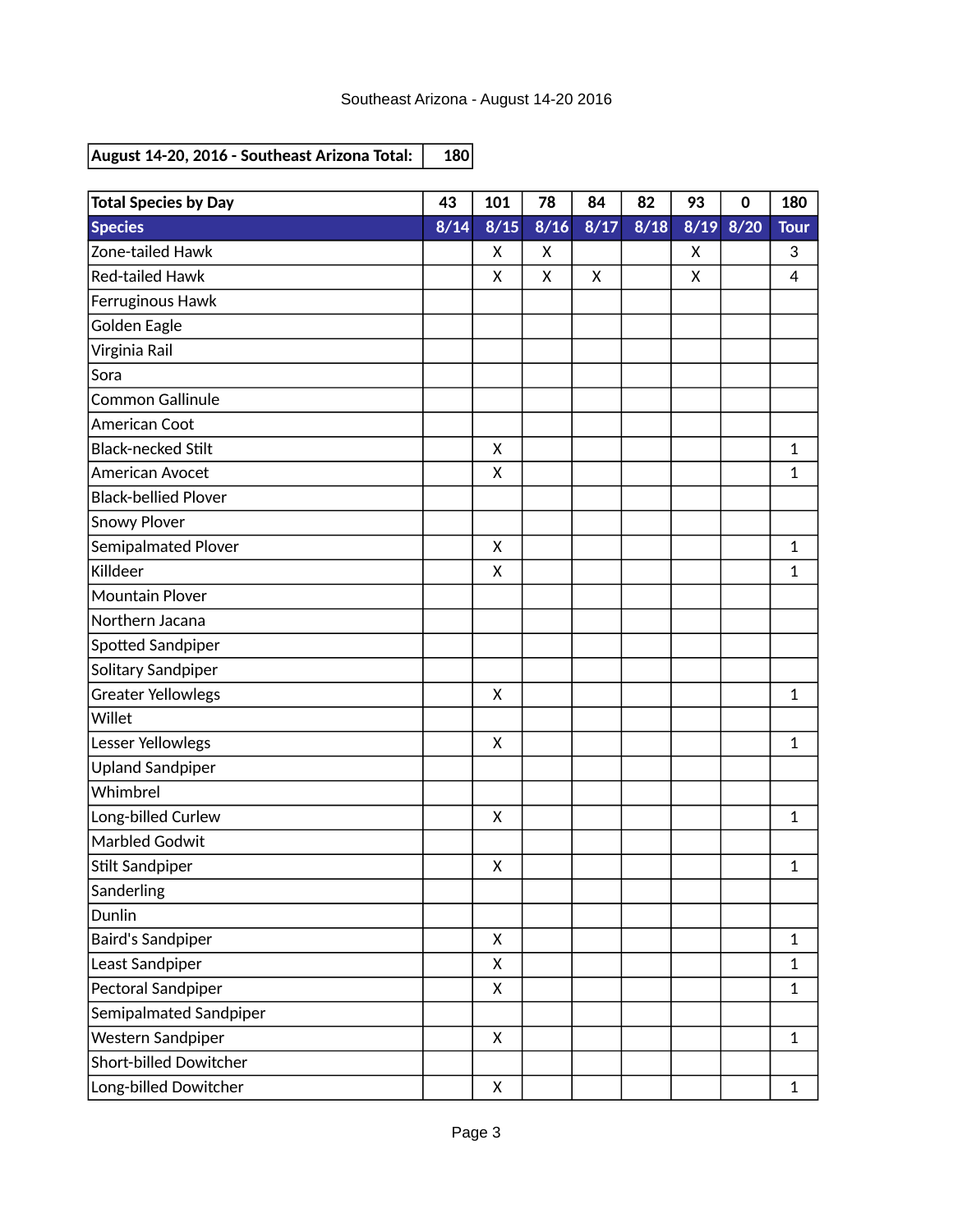| <b>Total Species by Day</b> | 43   | 101          | 78   | 84   | 82   | 93   | $\mathbf 0$ | 180          |
|-----------------------------|------|--------------|------|------|------|------|-------------|--------------|
| <b>Species</b>              | 8/14 | 8/15         | 8/16 | 8/17 | 8/18 | 8/19 | 8/20        | <b>Tour</b>  |
| Zone-tailed Hawk            |      | X            | X    |      |      | X    |             | 3            |
| <b>Red-tailed Hawk</b>      |      | X            | X    | X    |      | X    |             | 4            |
| Ferruginous Hawk            |      |              |      |      |      |      |             |              |
| <b>Golden Eagle</b>         |      |              |      |      |      |      |             |              |
| Virginia Rail               |      |              |      |      |      |      |             |              |
| Sora                        |      |              |      |      |      |      |             |              |
| <b>Common Gallinule</b>     |      |              |      |      |      |      |             |              |
| American Coot               |      |              |      |      |      |      |             |              |
| <b>Black-necked Stilt</b>   |      | X            |      |      |      |      |             | 1            |
| American Avocet             |      | X            |      |      |      |      |             | $\mathbf{1}$ |
| <b>Black-bellied Plover</b> |      |              |      |      |      |      |             |              |
| <b>Snowy Plover</b>         |      |              |      |      |      |      |             |              |
| Semipalmated Plover         |      | X            |      |      |      |      |             | 1            |
| Killdeer                    |      | X            |      |      |      |      |             | 1            |
| <b>Mountain Plover</b>      |      |              |      |      |      |      |             |              |
| Northern Jacana             |      |              |      |      |      |      |             |              |
| Spotted Sandpiper           |      |              |      |      |      |      |             |              |
| Solitary Sandpiper          |      |              |      |      |      |      |             |              |
| <b>Greater Yellowlegs</b>   |      | X            |      |      |      |      |             | 1            |
| Willet                      |      |              |      |      |      |      |             |              |
| Lesser Yellowlegs           |      | X            |      |      |      |      |             | 1            |
| <b>Upland Sandpiper</b>     |      |              |      |      |      |      |             |              |
| Whimbrel                    |      |              |      |      |      |      |             |              |
| Long-billed Curlew          |      | X            |      |      |      |      |             | 1            |
| <b>Marbled Godwit</b>       |      |              |      |      |      |      |             |              |
| Stilt Sandpiper             |      | X            |      |      |      |      |             | 1            |
| Sanderling                  |      |              |      |      |      |      |             |              |
| Dunlin                      |      |              |      |      |      |      |             |              |
| <b>Baird's Sandpiper</b>    |      | $\mathsf{X}$ |      |      |      |      |             | $\mathbf{1}$ |
| Least Sandpiper             |      | X            |      |      |      |      |             | $\mathbf{1}$ |
| Pectoral Sandpiper          |      | X            |      |      |      |      |             | $\mathbf{1}$ |
| Semipalmated Sandpiper      |      |              |      |      |      |      |             |              |
| Western Sandpiper           |      | $\mathsf{X}$ |      |      |      |      |             | $\mathbf{1}$ |
| Short-billed Dowitcher      |      |              |      |      |      |      |             |              |
| Long-billed Dowitcher       |      | X            |      |      |      |      |             | $\mathbf{1}$ |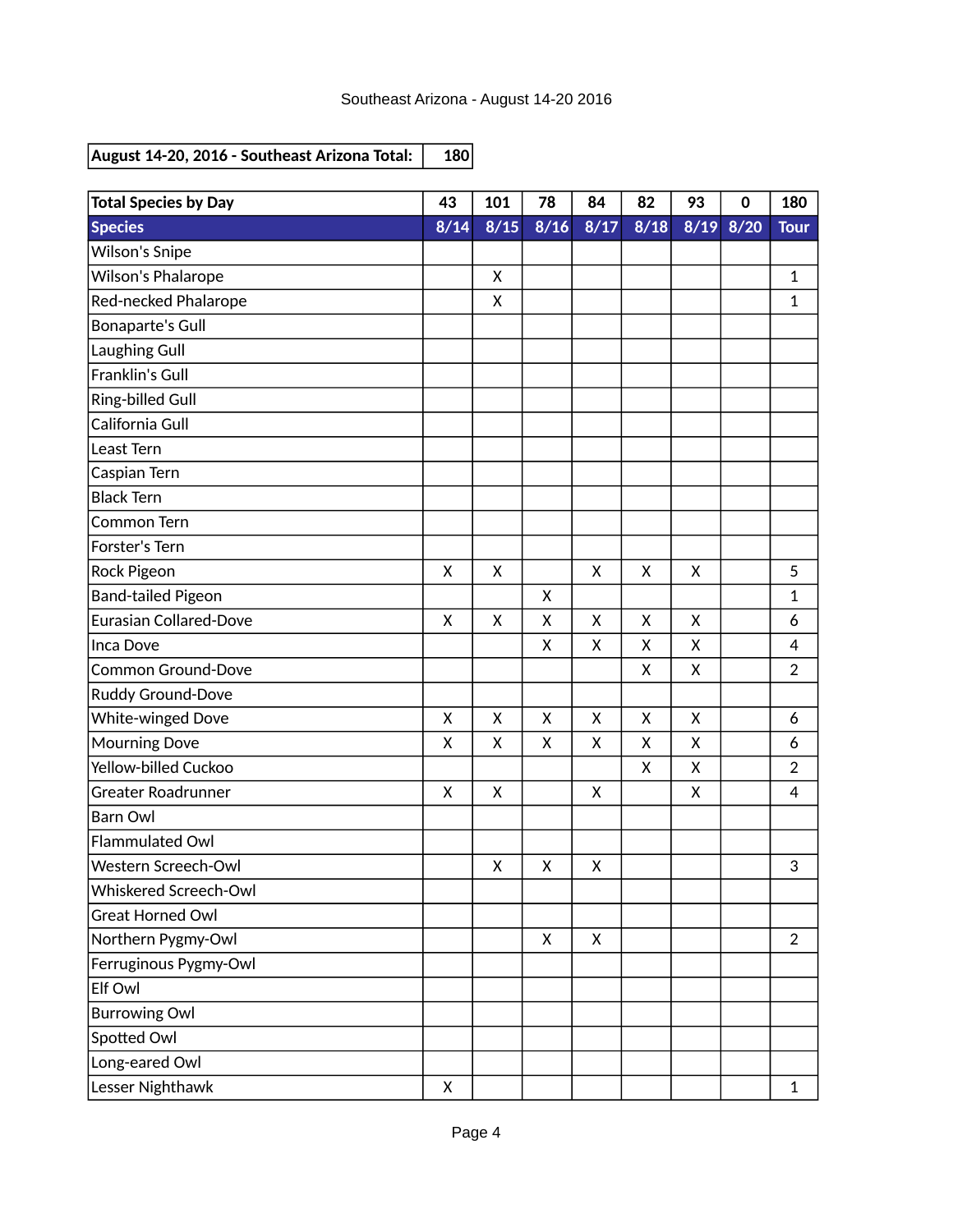| <b>Total Species by Day</b>   | 43           | 101  | 78                        | 84   | 82             | 93   | $\mathbf 0$ | 180            |
|-------------------------------|--------------|------|---------------------------|------|----------------|------|-------------|----------------|
| <b>Species</b>                | 8/14         | 8/15 | $\frac{8}{16}$            | 8/17 | $\frac{8}{18}$ | 8/19 | 8/20        | <b>Tour</b>    |
| <b>Wilson's Snipe</b>         |              |      |                           |      |                |      |             |                |
| Wilson's Phalarope            |              | X    |                           |      |                |      |             | 1              |
| Red-necked Phalarope          |              | X    |                           |      |                |      |             | 1              |
| <b>Bonaparte's Gull</b>       |              |      |                           |      |                |      |             |                |
| Laughing Gull                 |              |      |                           |      |                |      |             |                |
| Franklin's Gull               |              |      |                           |      |                |      |             |                |
| Ring-billed Gull              |              |      |                           |      |                |      |             |                |
| California Gull               |              |      |                           |      |                |      |             |                |
| Least Tern                    |              |      |                           |      |                |      |             |                |
| Caspian Tern                  |              |      |                           |      |                |      |             |                |
| <b>Black Tern</b>             |              |      |                           |      |                |      |             |                |
| Common Tern                   |              |      |                           |      |                |      |             |                |
| Forster's Tern                |              |      |                           |      |                |      |             |                |
| Rock Pigeon                   | X            | X    |                           | X    | X              | X    |             | 5              |
| <b>Band-tailed Pigeon</b>     |              |      | X                         |      |                |      |             | $\mathbf 1$    |
| <b>Eurasian Collared-Dove</b> | X            | X    | X                         | X    | Χ              | Χ    |             | 6              |
| Inca Dove                     |              |      | X                         | Χ    | Χ              | X    |             | 4              |
| <b>Common Ground-Dove</b>     |              |      |                           |      | X              | X    |             | $\overline{2}$ |
| Ruddy Ground-Dove             |              |      |                           |      |                |      |             |                |
| White-winged Dove             | $\mathsf{x}$ | X    | X                         | X    | X              | X    |             | 6              |
| <b>Mourning Dove</b>          | X            | X    | X                         | X    | X              | X    |             | 6              |
| Yellow-billed Cuckoo          |              |      |                           |      | X              | Χ    |             | $\overline{2}$ |
| <b>Greater Roadrunner</b>     | X            | X    |                           | X    |                | X    |             | 4              |
| <b>Barn Owl</b>               |              |      |                           |      |                |      |             |                |
| Flammulated Owl               |              |      |                           |      |                |      |             |                |
| Western Screech-Owl           |              | X    | $\boldsymbol{\mathsf{X}}$ | X    |                |      |             | 3              |
| Whiskered Screech-Owl         |              |      |                           |      |                |      |             |                |
| <b>Great Horned Owl</b>       |              |      |                           |      |                |      |             |                |
| Northern Pygmy-Owl            |              |      | X                         | X    |                |      |             | $\overline{2}$ |
| Ferruginous Pygmy-Owl         |              |      |                           |      |                |      |             |                |
| Elf Owl                       |              |      |                           |      |                |      |             |                |
| <b>Burrowing Owl</b>          |              |      |                           |      |                |      |             |                |
| Spotted Owl                   |              |      |                           |      |                |      |             |                |
| Long-eared Owl                |              |      |                           |      |                |      |             |                |
| Lesser Nighthawk              | X            |      |                           |      |                |      |             | $\mathbf{1}$   |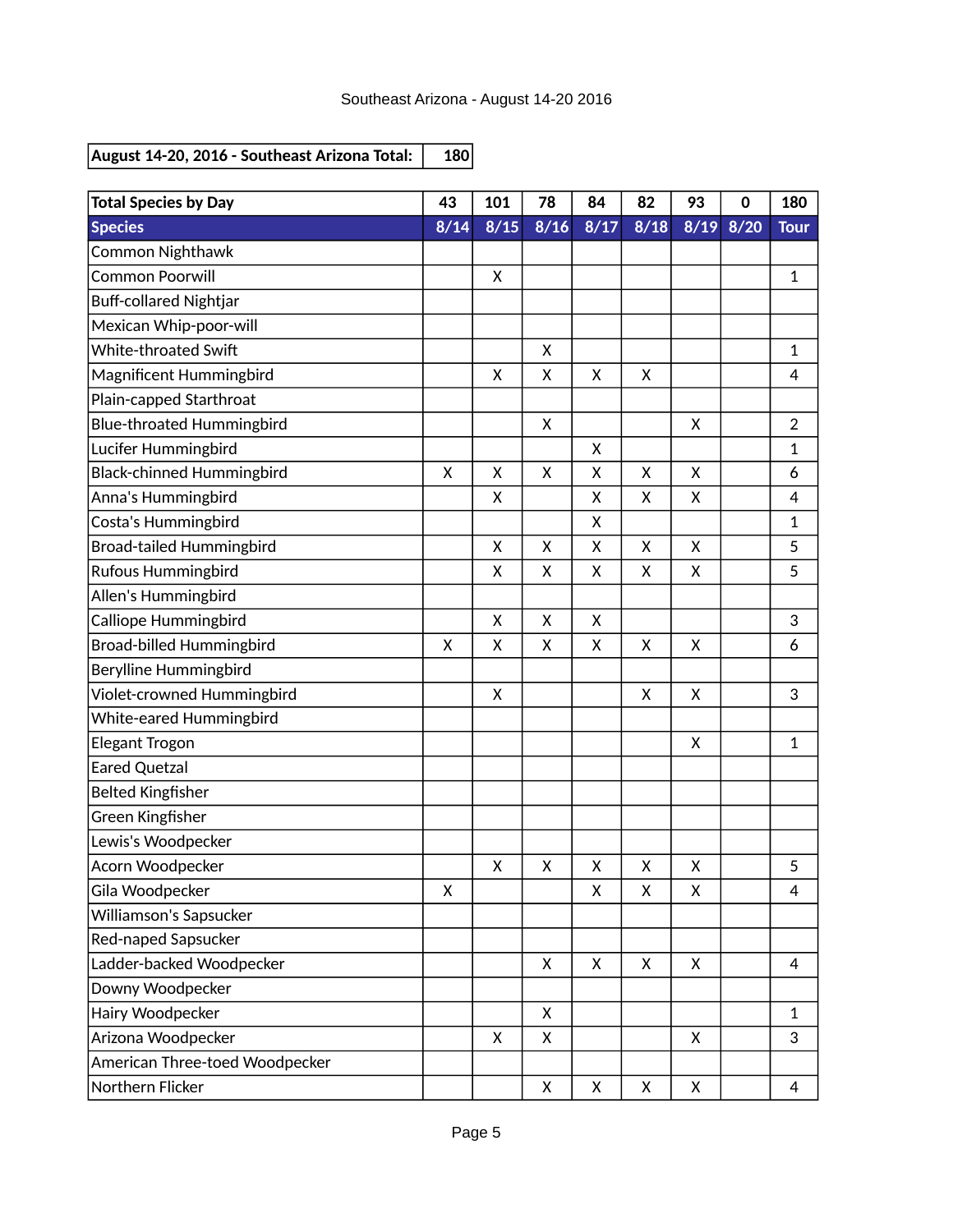| <b>Total Species by Day</b>      | 43   | 101  | 78                        | 84   | 82   | 93   | $\mathbf 0$ | 180            |
|----------------------------------|------|------|---------------------------|------|------|------|-------------|----------------|
| <b>Species</b>                   | 8/14 | 8/15 | 8/16                      | 8/17 | 8/18 | 8/19 | 8/20        | <b>Tour</b>    |
| <b>Common Nighthawk</b>          |      |      |                           |      |      |      |             |                |
| <b>Common Poorwill</b>           |      | X    |                           |      |      |      |             | 1              |
| <b>Buff-collared Nightjar</b>    |      |      |                           |      |      |      |             |                |
| Mexican Whip-poor-will           |      |      |                           |      |      |      |             |                |
| White-throated Swift             |      |      | X                         |      |      |      |             | 1              |
| Magnificent Hummingbird          |      | X    | X                         | X    | Χ    |      |             | 4              |
| Plain-capped Starthroat          |      |      |                           |      |      |      |             |                |
| <b>Blue-throated Hummingbird</b> |      |      | X                         |      |      | X    |             | $\overline{2}$ |
| Lucifer Hummingbird              |      |      |                           | X    |      |      |             | 1              |
| <b>Black-chinned Hummingbird</b> | X    | X    | X                         | Χ    | Χ    | X    |             | 6              |
| Anna's Hummingbird               |      | X    |                           | X    | Χ    | Χ    |             | 4              |
| Costa's Hummingbird              |      |      |                           | Χ    |      |      |             | 1              |
| <b>Broad-tailed Hummingbird</b>  |      | X    | X                         | X    | X    | X    |             | 5              |
| <b>Rufous Hummingbird</b>        |      | X    | X                         | X    | Χ    | Χ    |             | 5              |
| Allen's Hummingbird              |      |      |                           |      |      |      |             |                |
| Calliope Hummingbird             |      | X    | X                         | X    |      |      |             | 3              |
| Broad-billed Hummingbird         | X    | X    | X                         | X    | X    | X    |             | 6              |
| Berylline Hummingbird            |      |      |                           |      |      |      |             |                |
| Violet-crowned Hummingbird       |      | X    |                           |      | X    | X    |             | 3              |
| White-eared Hummingbird          |      |      |                           |      |      |      |             |                |
| Elegant Trogon                   |      |      |                           |      |      | X    |             | 1              |
| <b>Eared Quetzal</b>             |      |      |                           |      |      |      |             |                |
| <b>Belted Kingfisher</b>         |      |      |                           |      |      |      |             |                |
| Green Kingfisher                 |      |      |                           |      |      |      |             |                |
| Lewis's Woodpecker               |      |      |                           |      |      |      |             |                |
| Acorn Woodpecker                 |      | X    | $\boldsymbol{\mathsf{X}}$ | X    | X    | X    |             | 5              |
| Gila Woodpecker                  | Χ    |      |                           | X    | Χ    | Χ    |             | 4              |
| Williamson's Sapsucker           |      |      |                           |      |      |      |             |                |
| Red-naped Sapsucker              |      |      |                           |      |      |      |             |                |
| Ladder-backed Woodpecker         |      |      | X                         | X    | X    | X    |             | 4              |
| Downy Woodpecker                 |      |      |                           |      |      |      |             |                |
| Hairy Woodpecker                 |      |      | X                         |      |      |      |             | $\mathbf{1}$   |
| Arizona Woodpecker               |      | X    | X                         |      |      | X    |             | 3              |
| American Three-toed Woodpecker   |      |      |                           |      |      |      |             |                |
| Northern Flicker                 |      |      | X                         | X    | X    | X    |             | 4              |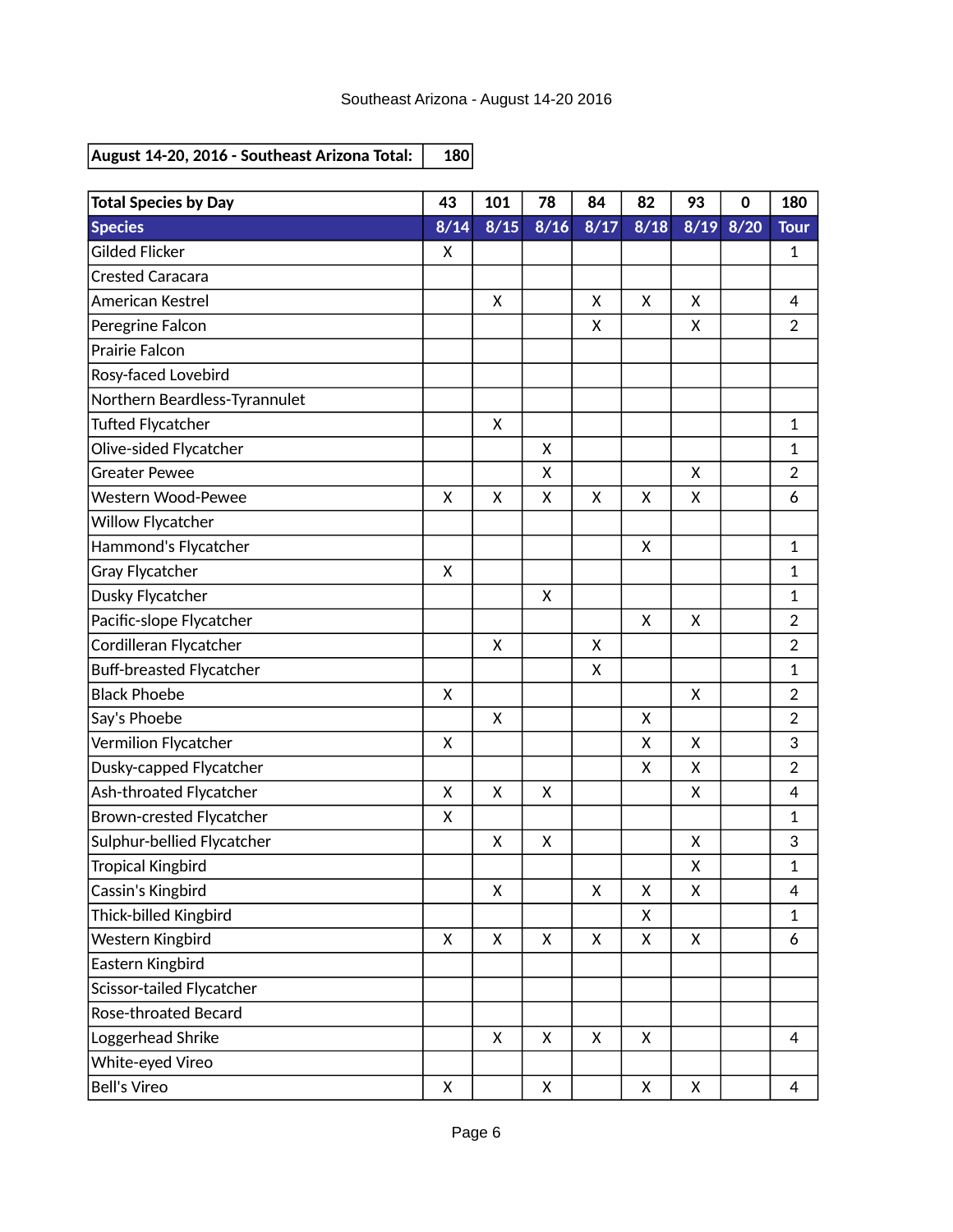| <b>Total Species by Day</b>     | 43           | 101          | 78   | 84           | 82   | 93   | $\bf{0}$ | 180            |
|---------------------------------|--------------|--------------|------|--------------|------|------|----------|----------------|
| <b>Species</b>                  | 8/14         | 8/15         | 8/16 | 8/17         | 8/18 | 8/19 | 8/20     | <b>Tour</b>    |
| <b>Gilded Flicker</b>           | X            |              |      |              |      |      |          | 1              |
| <b>Crested Caracara</b>         |              |              |      |              |      |      |          |                |
| American Kestrel                |              | X            |      | X            | X    | X    |          | 4              |
| Peregrine Falcon                |              |              |      | Χ            |      | X    |          | $\overline{2}$ |
| <b>Prairie Falcon</b>           |              |              |      |              |      |      |          |                |
| Rosy-faced Lovebird             |              |              |      |              |      |      |          |                |
| Northern Beardless-Tyrannulet   |              |              |      |              |      |      |          |                |
| <b>Tufted Flycatcher</b>        |              | X            |      |              |      |      |          | 1              |
| Olive-sided Flycatcher          |              |              | X    |              |      |      |          | 1              |
| <b>Greater Pewee</b>            |              |              | X    |              |      | X    |          | $\overline{2}$ |
| <b>Western Wood-Pewee</b>       | X            | X            | X    | X            | x    | Χ    |          | 6              |
| Willow Flycatcher               |              |              |      |              |      |      |          |                |
| Hammond's Flycatcher            |              |              |      |              | X    |      |          | 1              |
| Gray Flycatcher                 | X            |              |      |              |      |      |          | 1              |
| Dusky Flycatcher                |              |              | X    |              |      |      |          | 1              |
| Pacific-slope Flycatcher        |              |              |      |              | X    | X    |          | $\overline{2}$ |
| Cordilleran Flycatcher          |              | X            |      | Χ            |      |      |          | $\overline{2}$ |
| <b>Buff-breasted Flycatcher</b> |              |              |      | X            |      |      |          | $\mathbf{1}$   |
| <b>Black Phoebe</b>             | X            |              |      |              |      | X    |          | $\overline{2}$ |
| Say's Phoebe                    |              | X            |      |              | X    |      |          | $\overline{2}$ |
| Vermilion Flycatcher            | X            |              |      |              | X    | X    |          | 3              |
| Dusky-capped Flycatcher         |              |              |      |              | X    | Χ    |          | $\overline{2}$ |
| Ash-throated Flycatcher         | $\mathsf{x}$ | X            | X    |              |      | X    |          | $\overline{4}$ |
| Brown-crested Flycatcher        | X            |              |      |              |      |      |          | 1              |
| Sulphur-bellied Flycatcher      |              | X            | X    |              |      | X    |          | 3              |
| <b>Tropical Kingbird</b>        |              |              |      |              |      | X    |          | 1              |
| Cassin's Kingbird               |              | X            |      | X            | Χ    | Χ    |          | 4              |
| Thick-billed Kingbird           |              |              |      |              | X    |      |          | 1              |
| Western Kingbird                | $\mathsf{X}$ | $\mathsf{X}$ | X    | $\mathsf{X}$ | X    | X    |          | 6              |
| Eastern Kingbird                |              |              |      |              |      |      |          |                |
| Scissor-tailed Flycatcher       |              |              |      |              |      |      |          |                |
| Rose-throated Becard            |              |              |      |              |      |      |          |                |
| Loggerhead Shrike               |              | X            | X    | X            | X    |      |          | 4              |
| White-eyed Vireo                |              |              |      |              |      |      |          |                |
| <b>Bell's Vireo</b>             | X            |              | X    |              | X    | X    |          | 4              |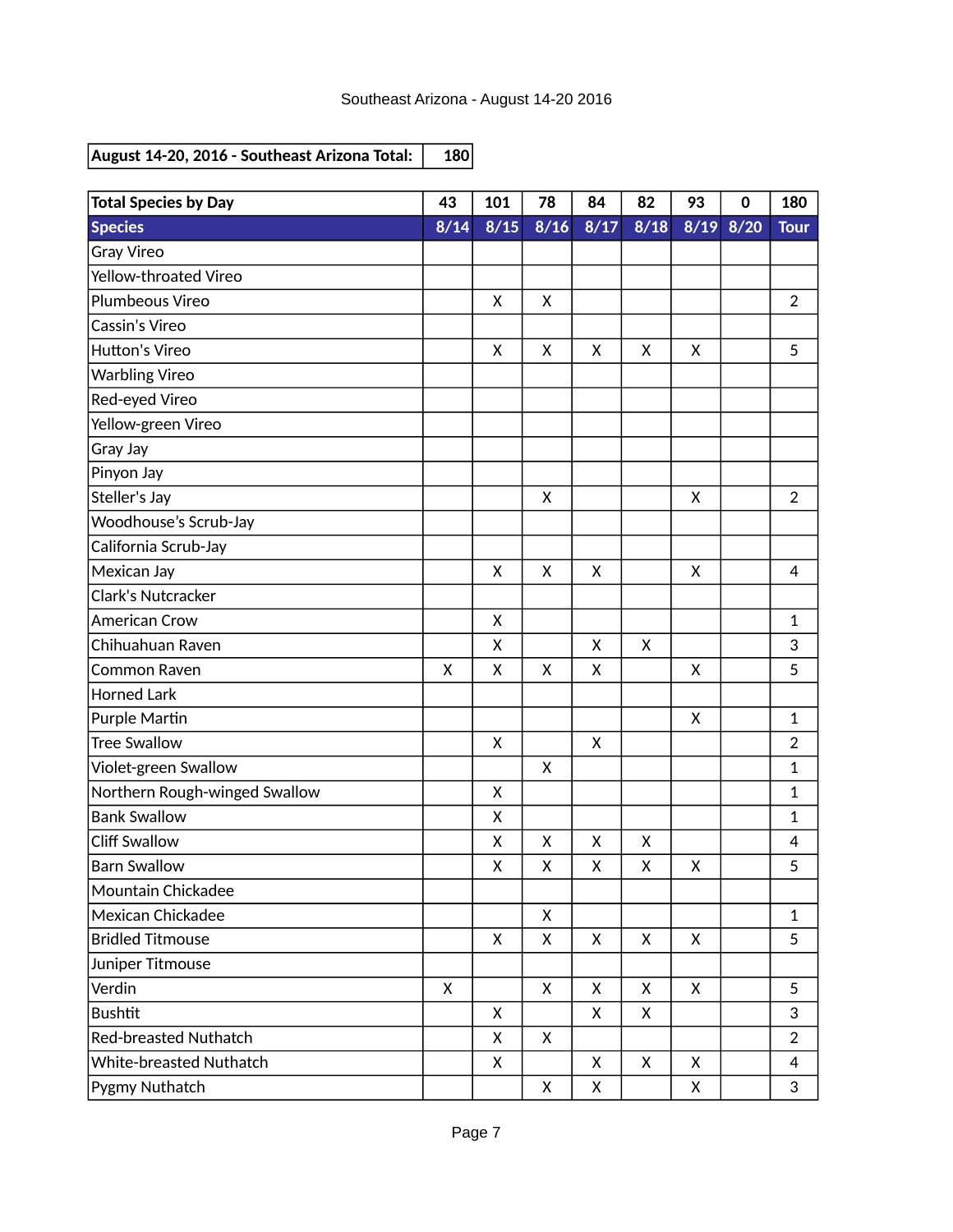| <b>Total Species by Day</b>   | 43   | 101  | 78             | 84   | 82   | 93   | $\mathbf 0$ | 180            |
|-------------------------------|------|------|----------------|------|------|------|-------------|----------------|
| <b>Species</b>                | 8/14 | 8/15 | $\frac{8}{16}$ | 8/17 | 8/18 | 8/19 | 8/20        | <b>Tour</b>    |
| <b>Gray Vireo</b>             |      |      |                |      |      |      |             |                |
| Yellow-throated Vireo         |      |      |                |      |      |      |             |                |
| Plumbeous Vireo               |      | X    | X              |      |      |      |             | $\overline{2}$ |
| Cassin's Vireo                |      |      |                |      |      |      |             |                |
| Hutton's Vireo                |      | X    | X              | X    | X    | X    |             | 5              |
| <b>Warbling Vireo</b>         |      |      |                |      |      |      |             |                |
| Red-eyed Vireo                |      |      |                |      |      |      |             |                |
| Yellow-green Vireo            |      |      |                |      |      |      |             |                |
| Gray Jay                      |      |      |                |      |      |      |             |                |
| Pinyon Jay                    |      |      |                |      |      |      |             |                |
| Steller's Jay                 |      |      | X              |      |      | Χ    |             | $\overline{2}$ |
| Woodhouse's Scrub-Jay         |      |      |                |      |      |      |             |                |
| California Scrub-Jay          |      |      |                |      |      |      |             |                |
| Mexican Jay                   |      | X    | X              | X    |      | X    |             | $\overline{4}$ |
| Clark's Nutcracker            |      |      |                |      |      |      |             |                |
| <b>American Crow</b>          |      | X    |                |      |      |      |             | 1              |
| Chihuahuan Raven              |      | X    |                | Χ    | X    |      |             | 3              |
| <b>Common Raven</b>           | X    | X    | $\mathsf{x}$   | X    |      | X    |             | 5              |
| <b>Horned Lark</b>            |      |      |                |      |      |      |             |                |
| Purple Martin                 |      |      |                |      |      | X    |             | 1              |
| <b>Tree Swallow</b>           |      | X    |                | X    |      |      |             | $\overline{2}$ |
| Violet-green Swallow          |      |      | X              |      |      |      |             | 1              |
| Northern Rough-winged Swallow |      | X    |                |      |      |      |             | 1              |
| <b>Bank Swallow</b>           |      | Χ    |                |      |      |      |             | 1              |
| <b>Cliff Swallow</b>          |      | X    | X              | X    | X    |      |             | 4              |
| <b>Barn Swallow</b>           |      | X    | X              | X    | X    | X    |             | 5              |
| Mountain Chickadee            |      |      |                |      |      |      |             |                |
| Mexican Chickadee             |      |      | X              |      |      |      |             | $\mathbf 1$    |
| <b>Bridled Titmouse</b>       |      | X    | X              | X    | X    | X    |             | 5              |
| Juniper Titmouse              |      |      |                |      |      |      |             |                |
| Verdin                        | X    |      | X              | X    | X    | X    |             | 5              |
| <b>Bushtit</b>                |      | X    |                | X    | X    |      |             | 3              |
| Red-breasted Nuthatch         |      | X    | X              |      |      |      |             | $\overline{2}$ |
| White-breasted Nuthatch       |      | X    |                | X    | X    | X    |             | $\overline{4}$ |
| Pygmy Nuthatch                |      |      | X              | X    |      | X    |             | 3              |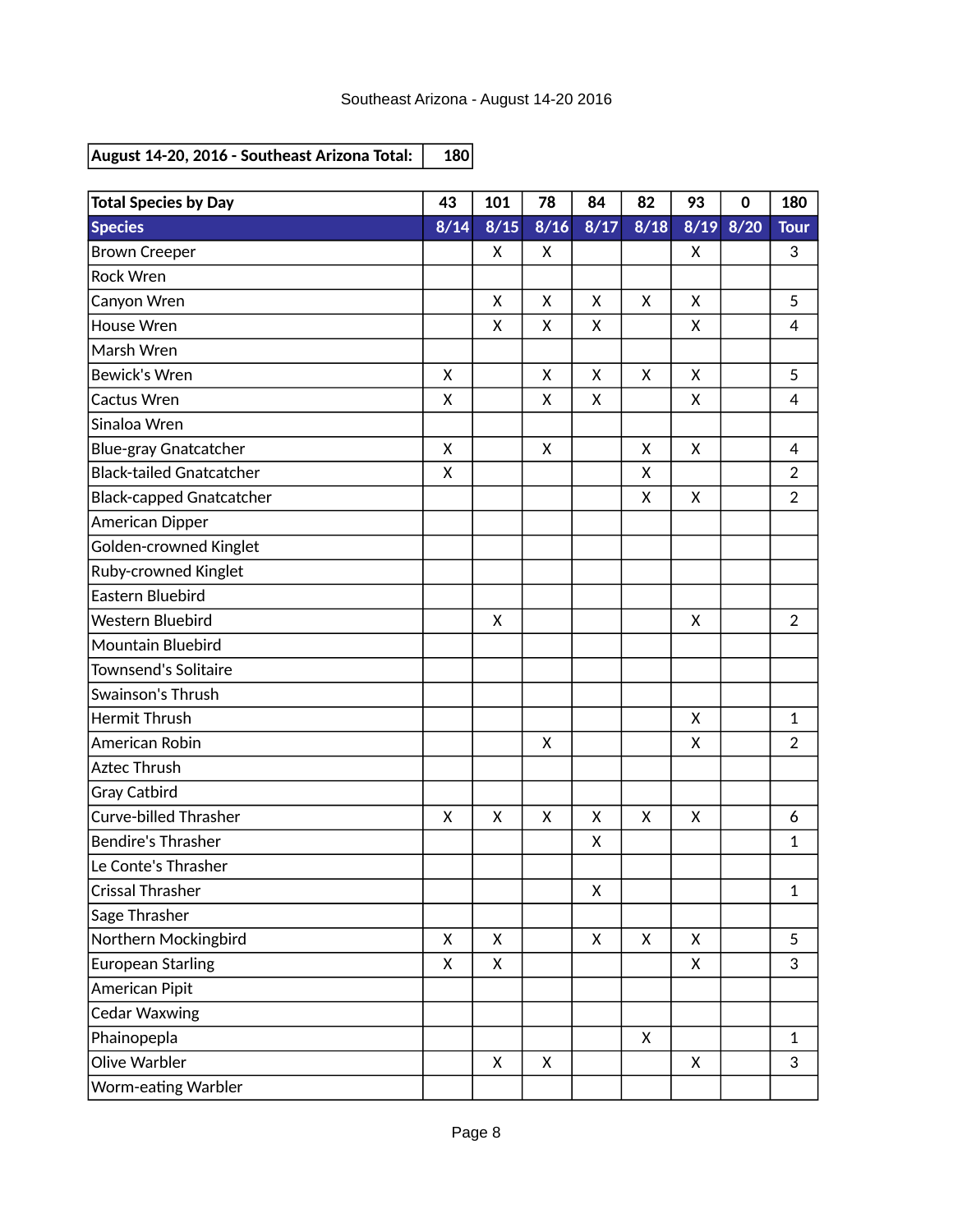| <b>Total Species by Day</b>     | 43   | 101    | 78   | 84   | 82   | 93 | $\mathbf 0$ | 180            |
|---------------------------------|------|--------|------|------|------|----|-------------|----------------|
| <b>Species</b>                  | 8/14 | $8/15$ | 8/16 | 8/17 | 8/18 |    | 8/19 8/20   | <b>Tour</b>    |
| <b>Brown Creeper</b>            |      | X      | X    |      |      | X  |             | 3              |
| <b>Rock Wren</b>                |      |        |      |      |      |    |             |                |
| Canyon Wren                     |      | X      | X    | X    | X    | X  |             | 5              |
| House Wren                      |      | X      | Χ    | X    |      | X  |             | 4              |
| Marsh Wren                      |      |        |      |      |      |    |             |                |
| <b>Bewick's Wren</b>            | X    |        | X    | Χ    | X    | X  |             | 5              |
| Cactus Wren                     | X    |        | X    | X    |      | X  |             | $\overline{4}$ |
| Sinaloa Wren                    |      |        |      |      |      |    |             |                |
| <b>Blue-gray Gnatcatcher</b>    | X    |        | X    |      | X    | X  |             | $\overline{4}$ |
| <b>Black-tailed Gnatcatcher</b> | X    |        |      |      | X    |    |             | $\overline{2}$ |
| <b>Black-capped Gnatcatcher</b> |      |        |      |      | X    | X  |             | $\overline{2}$ |
| American Dipper                 |      |        |      |      |      |    |             |                |
| Golden-crowned Kinglet          |      |        |      |      |      |    |             |                |
| Ruby-crowned Kinglet            |      |        |      |      |      |    |             |                |
| <b>Eastern Bluebird</b>         |      |        |      |      |      |    |             |                |
| Western Bluebird                |      | X      |      |      |      | X  |             | $\overline{2}$ |
| Mountain Bluebird               |      |        |      |      |      |    |             |                |
| <b>Townsend's Solitaire</b>     |      |        |      |      |      |    |             |                |
| Swainson's Thrush               |      |        |      |      |      |    |             |                |
| <b>Hermit Thrush</b>            |      |        |      |      |      | X  |             | $\mathbf{1}$   |
| American Robin                  |      |        | X    |      |      | Χ  |             | $\overline{2}$ |
| <b>Aztec Thrush</b>             |      |        |      |      |      |    |             |                |
| Gray Catbird                    |      |        |      |      |      |    |             |                |
| <b>Curve-billed Thrasher</b>    | X    | X      | X    | X    | X    | X  |             | 6              |
| <b>Bendire's Thrasher</b>       |      |        |      | Χ    |      |    |             | 1              |
| Le Conte's Thrasher             |      |        |      |      |      |    |             |                |
| Crissal Thrasher                |      |        |      | Χ    |      |    |             | 1              |
| Sage Thrasher                   |      |        |      |      |      |    |             |                |
| Northern Mockingbird            | X    | X      |      | X    | X    | X  |             | 5              |
| <b>European Starling</b>        | X    | X      |      |      |      | X  |             | 3              |
| American Pipit                  |      |        |      |      |      |    |             |                |
| <b>Cedar Waxwing</b>            |      |        |      |      |      |    |             |                |
| Phainopepla                     |      |        |      |      | X    |    |             | $\mathbf{1}$   |
| Olive Warbler                   |      | X      | X    |      |      | X  |             | 3              |
| Worm-eating Warbler             |      |        |      |      |      |    |             |                |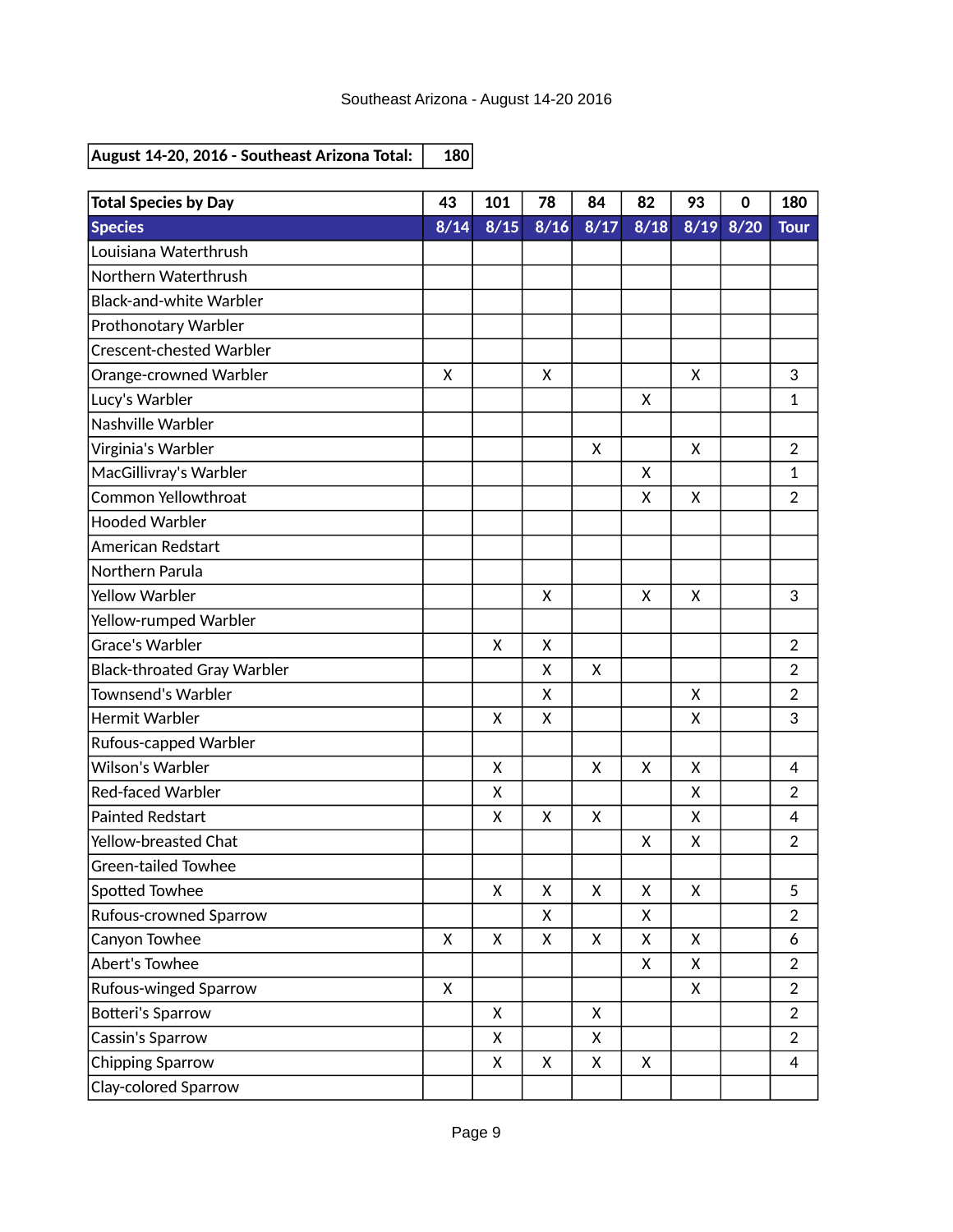| <b>Total Species by Day</b>        | 43           | 101          | 78   | 84   | 82                | 93   | $\mathbf 0$ | 180            |
|------------------------------------|--------------|--------------|------|------|-------------------|------|-------------|----------------|
| <b>Species</b>                     | 8/14         | $8/15$       | 8/16 | 8/17 | $\overline{8}/18$ | 8/19 | 8/20        | <b>Tour</b>    |
| Louisiana Waterthrush              |              |              |      |      |                   |      |             |                |
| Northern Waterthrush               |              |              |      |      |                   |      |             |                |
| <b>Black-and-white Warbler</b>     |              |              |      |      |                   |      |             |                |
| Prothonotary Warbler               |              |              |      |      |                   |      |             |                |
| <b>Crescent-chested Warbler</b>    |              |              |      |      |                   |      |             |                |
| Orange-crowned Warbler             | X            |              | X    |      |                   | X    |             | 3              |
| Lucy's Warbler                     |              |              |      |      | X                 |      |             | $\mathbf{1}$   |
| Nashville Warbler                  |              |              |      |      |                   |      |             |                |
| Virginia's Warbler                 |              |              |      | Χ    |                   | X    |             | $\overline{2}$ |
| MacGillivray's Warbler             |              |              |      |      | X                 |      |             | $\mathbf{1}$   |
| <b>Common Yellowthroat</b>         |              |              |      |      | x                 | X    |             | $\overline{2}$ |
| <b>Hooded Warbler</b>              |              |              |      |      |                   |      |             |                |
| American Redstart                  |              |              |      |      |                   |      |             |                |
| Northern Parula                    |              |              |      |      |                   |      |             |                |
| <b>Yellow Warbler</b>              |              |              | X    |      | X                 | X    |             | 3              |
| Yellow-rumped Warbler              |              |              |      |      |                   |      |             |                |
| Grace's Warbler                    |              | X            | X    |      |                   |      |             | $\overline{2}$ |
| <b>Black-throated Gray Warbler</b> |              |              | X    | X    |                   |      |             | $\overline{2}$ |
| <b>Townsend's Warbler</b>          |              |              | X    |      |                   | Χ    |             | $\overline{2}$ |
| Hermit Warbler                     |              | X            | X    |      |                   | X    |             | 3              |
| Rufous-capped Warbler              |              |              |      |      |                   |      |             |                |
| <b>Wilson's Warbler</b>            |              | X            |      | X    | X                 | X    |             | 4              |
| <b>Red-faced Warbler</b>           |              | X            |      |      |                   | X    |             | $\overline{2}$ |
| <b>Painted Redstart</b>            |              | X            | X    | X    |                   | X    |             | 4              |
| Yellow-breasted Chat               |              |              |      |      | X                 | X    |             | $\overline{2}$ |
| <b>Green-tailed Towhee</b>         |              |              |      |      |                   |      |             |                |
| Spotted Towhee                     |              | X            | Χ    | X    | Χ                 | Χ    |             | 5              |
| Rufous-crowned Sparrow             |              |              | X    |      | Χ                 |      |             | $\overline{2}$ |
| Canyon Towhee                      | $\mathsf{X}$ | $\mathsf{X}$ | X    | X    | X                 | X    |             | 6              |
| Abert's Towhee                     |              |              |      |      | X                 | X    |             | $\overline{2}$ |
| Rufous-winged Sparrow              | $\mathsf{X}$ |              |      |      |                   | Χ    |             | $\overline{2}$ |
| Botteri's Sparrow                  |              | X            |      | X    |                   |      |             | $\overline{2}$ |
| Cassin's Sparrow                   |              | X            |      | X    |                   |      |             | $\overline{2}$ |
| <b>Chipping Sparrow</b>            |              | X            | X    | Χ    | X                 |      |             | $\overline{4}$ |
| Clay-colored Sparrow               |              |              |      |      |                   |      |             |                |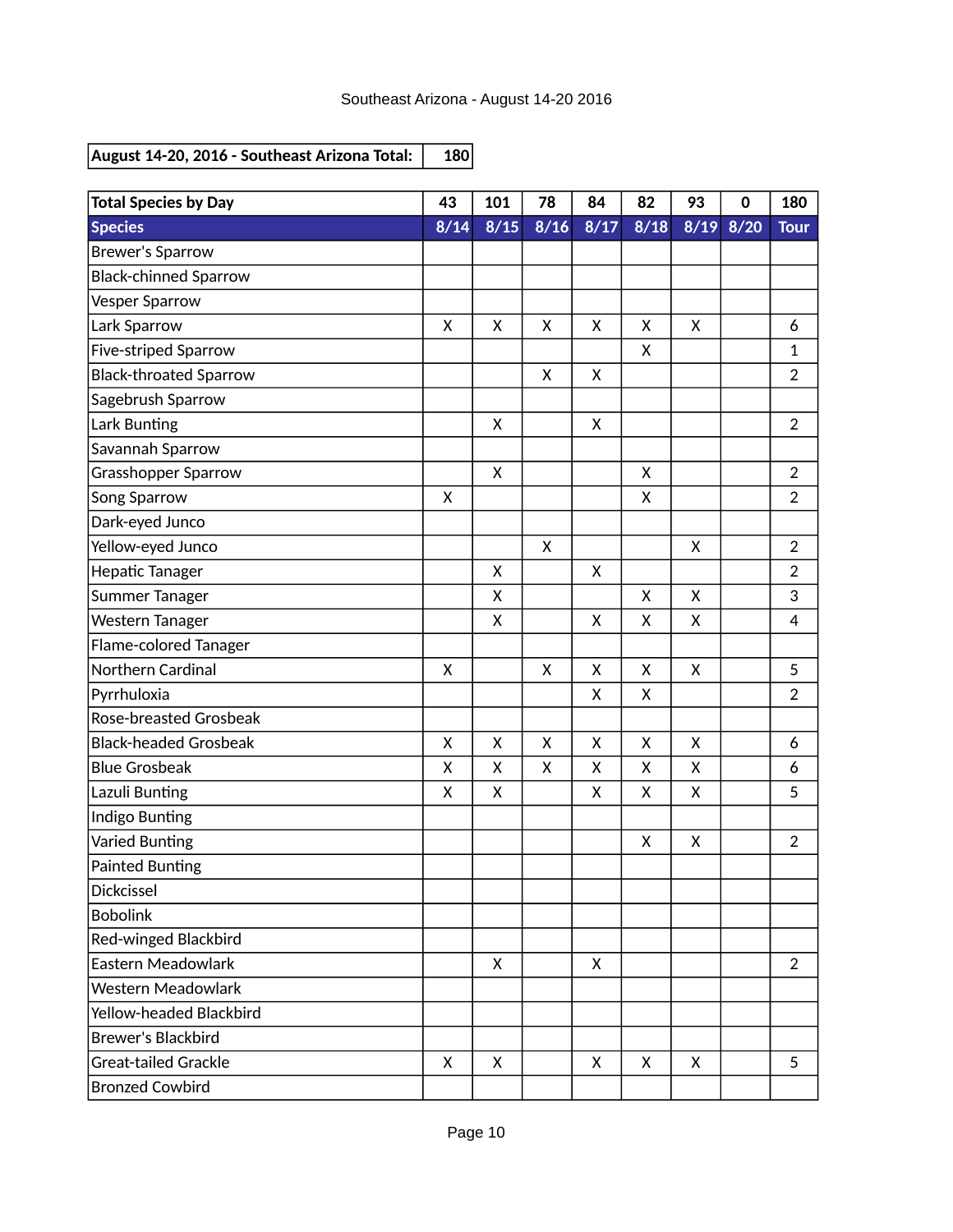| <b>Total Species by Day</b>   | 43           | 101  | 78   | 84   | 82   | 93   | $\mathbf 0$ | 180            |
|-------------------------------|--------------|------|------|------|------|------|-------------|----------------|
| <b>Species</b>                | 8/14         | 8/15 | 8/16 | 8/17 | 8/18 | 8/19 | 8/20        | <b>Tour</b>    |
| <b>Brewer's Sparrow</b>       |              |      |      |      |      |      |             |                |
| <b>Black-chinned Sparrow</b>  |              |      |      |      |      |      |             |                |
| Vesper Sparrow                |              |      |      |      |      |      |             |                |
| Lark Sparrow                  | $\mathsf{x}$ | X    | X    | X    | X    | X    |             | 6              |
| <b>Five-striped Sparrow</b>   |              |      |      |      | X    |      |             | 1              |
| <b>Black-throated Sparrow</b> |              |      | X    | X    |      |      |             | $\overline{2}$ |
| Sagebrush Sparrow             |              |      |      |      |      |      |             |                |
| Lark Bunting                  |              | X    |      | X    |      |      |             | $\overline{2}$ |
| Savannah Sparrow              |              |      |      |      |      |      |             |                |
| Grasshopper Sparrow           |              | X    |      |      | X    |      |             | $\overline{2}$ |
| Song Sparrow                  | X            |      |      |      | Χ    |      |             | $\overline{2}$ |
| Dark-eyed Junco               |              |      |      |      |      |      |             |                |
| Yellow-eyed Junco             |              |      | X    |      |      | X    |             | $\overline{2}$ |
| Hepatic Tanager               |              | X    |      | X    |      |      |             | $\overline{2}$ |
| Summer Tanager                |              | X    |      |      | X    | X    |             | 3              |
| Western Tanager               |              | X    |      | X    | X    | X    |             | 4              |
| Flame-colored Tanager         |              |      |      |      |      |      |             |                |
| Northern Cardinal             | X            |      | X    | X    | X    | X    |             | 5              |
| Pyrrhuloxia                   |              |      |      | X    | X    |      |             | $\overline{2}$ |
| Rose-breasted Grosbeak        |              |      |      |      |      |      |             |                |
| <b>Black-headed Grosbeak</b>  | X            | X    | X    | X    | X    | X    |             | 6              |
| <b>Blue Grosbeak</b>          | X            | X    | X    | X    | Χ    | Χ    |             | 6              |
| Lazuli Bunting                | X            | X    |      | X    | X    | X    |             | 5              |
| Indigo Bunting                |              |      |      |      |      |      |             |                |
| Varied Bunting                |              |      |      |      | X    | X    |             | $\overline{2}$ |
| <b>Painted Bunting</b>        |              |      |      |      |      |      |             |                |
| <b>Dickcissel</b>             |              |      |      |      |      |      |             |                |
| <b>Bobolink</b>               |              |      |      |      |      |      |             |                |
| Red-winged Blackbird          |              |      |      |      |      |      |             |                |
| Eastern Meadowlark            |              | X    |      | X    |      |      |             | $\overline{2}$ |
| <b>Western Meadowlark</b>     |              |      |      |      |      |      |             |                |
| Yellow-headed Blackbird       |              |      |      |      |      |      |             |                |
| <b>Brewer's Blackbird</b>     |              |      |      |      |      |      |             |                |
| Great-tailed Grackle          | X            | X    |      | X    | X    | X    |             | 5              |
| <b>Bronzed Cowbird</b>        |              |      |      |      |      |      |             |                |